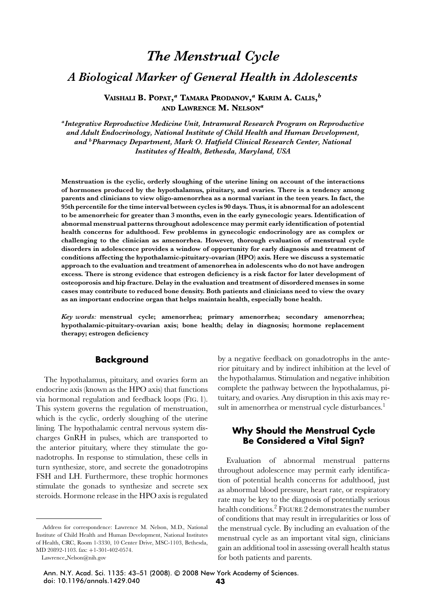# *The Menstrual Cycle A Biological Marker of General Health in Adolescents*

**VAISHALI B. POPAT,** *<sup>a</sup>* **TAMARA PRODANOV,** *<sup>a</sup>* **KARIM A. CALIS,** *b* **AND LAWRENCE M. NELSON***<sup>a</sup>*

*aIntegrative Reproductive Medicine Unit, Intramural Research Program on Reproductive and Adult Endocrinology, National Institute of Child Health and Human Development, and bPharmacy Department, Mark O. Hatfield Clinical Research Center, National Institutes of Health, Bethesda, Maryland, USA*

**Menstruation is the cyclic, orderly sloughing of the uterine lining on account of the interactions of hormones produced by the hypothalamus, pituitary, and ovaries. There is a tendency among parents and clinicians to view oligo-amenorrhea as a normal variant in the teen years. In fact, the 95th percentile for the time interval between cycles is 90 days. Thus, it is abnormal for an adolescent to be amenorrheic for greater than 3 months, even in the early gynecologic years. Identification of abnormal menstrual patterns throughout adolescence may permit early identification of potential health concerns for adulthood. Few problems in gynecologic endocrinology are as complex or challenging to the clinician as amenorrhea. However, thorough evaluation of menstrual cycle disorders in adolescence provides a window of opportunity for early diagnosis and treatment of conditions affecting the hypothalamic-pituitary-ovarian (HPO) axis. Here we discuss a systematic approach to the evaluation and treatment of amenorrhea in adolescents who do not have androgen excess. There is strong evidence that estrogen deficiency is a risk factor for later development of osteoporosis and hip fracture. Delay in the evaluation and treatment of disordered menses in some cases may contribute to reduced bone density. Both patients and clinicians need to view the ovary as an important endocrine organ that helps maintain health, especially bone health.**

*Key words:* **menstrual cycle; amenorrhea; primary amenorrhea; secondary amenorrhea; hypothalamic-pituitary-ovarian axis; bone health; delay in diagnosis; hormone replacement therapy; estrogen deficiency**

## **Background**

The hypothalamus, pituitary, and ovaries form an endocrine axis (known as the HPO axis) that functions via hormonal regulation and feedback loops (FIG. 1). This system governs the regulation of menstruation, which is the cyclic, orderly sloughing of the uterine lining. The hypothalamic central nervous system discharges GnRH in pulses, which are transported to the anterior pituitary, where they stimulate the gonadotrophs. In response to stimulation, these cells in turn synthesize, store, and secrete the gonadotropins FSH and LH. Furthermore, these trophic hormones stimulate the gonads to synthesize and secrete sex steroids. Hormone release in the HPO axis is regulated

Lawrence Nelson@nih.gov

by a negative feedback on gonadotrophs in the anterior pituitary and by indirect inhibition at the level of the hypothalamus. Stimulation and negative inhibition complete the pathway between the hypothalamus, pituitary, and ovaries. Any disruption in this axis may result in amenorrhea or menstrual cycle disturbances.<sup>1</sup>

## **Why Should the Menstrual Cycle Be Considered a Vital Sign?**

Evaluation of abnormal menstrual patterns throughout adolescence may permit early identification of potential health concerns for adulthood, just as abnormal blood pressure, heart rate, or respiratory rate may be key to the diagnosis of potentially serious health conditions.<sup>2</sup> FIGURE 2 demonstrates the number of conditions that may result in irregularities or loss of the menstrual cycle. By including an evaluation of the menstrual cycle as an important vital sign, clinicians gain an additional tool in assessing overall health status for both patients and parents.

Ann. N.Y. Acad. Sci. 1135: 43–51 (2008). © 2008 New York Academy of Sciences. doi: 10.1196/annals.1429.040 **43**

Address for correspondence: Lawrence M. Nelson, M.D., National Institute of Child Health and Human Development, National Institutes of Health, CRC, Room 1-3330, 10 Center Drive, MSC-1103, Bethesda, MD 20892-1103. fax: +1-301-402-0574.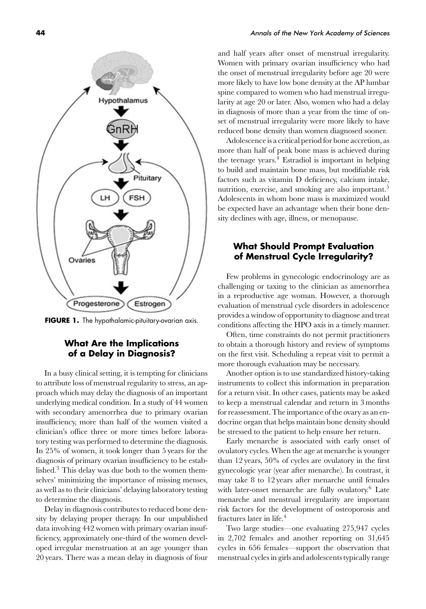

**FIGURE 1.** The hypothalamic-pituitary-ovarian axis.

# **What Are the Implications of a Delay in Diagnosis?**

In a busy clinical setting, it is tempting for clinicians to attribute loss of menstrual regularity to stress, an approach which may delay the diagnosis of an important underlying medical condition. In a study of 44 women with secondary amenorrhea due to primary ovarian insufficiency, more than half of the women visited a clinician's office three or more times before laboratory testing was performed to determine the diagnosis. In 25% of women, it took longer than 5 years for the diagnosis of primary ovarian insufficiency to be established.<sup>3</sup> This delay was due both to the women themselves' minimizing the importance of missing menses, as well as to their clinicians' delaying laboratory testing to determine the diagnosis.

Delay in diagnosis contributes to reduced bone density by delaying proper therapy. In our unpublished data involving 442 women with primary ovarian insufficiency, approximately one-third of the women developed irregular menstruation at an age younger than 20 years. There was a mean delay in diagnosis of four

#### **44 Annals of the New York Academy of Sciences 6 44 Annals of the New York Academy of Sciences**

and half years after onset of menstrual irregularity. Women with primary ovarian insufficiency who had the onset of menstrual irregularity before age 20 were more likely to have low bone density at the AP lumbar spine compared to women who had menstrual irregularity at age 20 or later. Also, women who had a delay in diagnosis of more than a year from the time of onset of menstrual irregularity were more likely to have reduced bone density than women diagnosed sooner.

Adolescence is a critical period for bone accretion, as more than half of peak bone mass is achieved during the teenage years.<sup>4</sup> Estradiol is important in helping to build and maintain bone mass, but modifiable risk factors such as vitamin D deficiency, calcium intake, nutrition, exercise, and smoking are also important.<sup>5</sup> Adolescents in whom bone mass is maximized would be expected have an advantage when their bone density declines with age, illness, or menopause.

# **What Should Prompt Evaluation of Menstrual Cycle Irregularity?**

Few problems in gynecologic endocrinology are as challenging or taxing to the clinician as amenorrhea in a reproductive age woman. However, a thorough evaluation of menstrual cycle disorders in adolescence provides a window of opportunity to diagnose and treat conditions affecting the HPO axis in a timely manner.

Often, time constraints do not permit practitioners to obtain a thorough history and review of symptoms on the first visit. Scheduling a repeat visit to permit a more thorough evaluation may be necessary.

Another option is to use standardized history-taking instruments to collect this information in preparation for a return visit. In other cases, patients may be asked to keep a menstrual calendar and return in 3 months for reassessment. The importance of the ovary as an endocrine organ that helps maintain bone density should be stressed to the patient to help ensure her return.

Early menarche is associated with early onset of ovulatory cycles. When the age at menarche is younger than 12 years, 50% of cycles are ovulatory in the first gynecologic year (year after menarche). In contrast, it may take 8 to 12 years after menarche until females with later-onset menarche are fully ovulatory.<sup>6</sup> Late menarche and menstrual irregularity are important risk factors for the development of osteoporosis and fractures later in life.<sup>4</sup>

Two large studies—one evaluating 275,947 cycles in 2,702 females and another reporting on 31,645 cycles in 656 females—support the observation that menstrual cycles in girls and adolescents typically range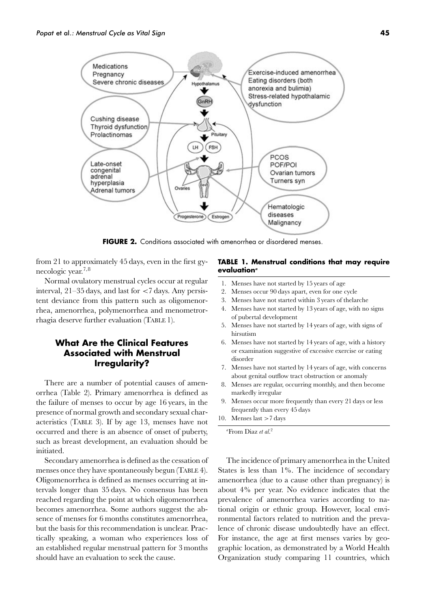

**FIGURE 2.** Conditions associated with amenorrhea or disordered menses.

from 21 to approximately 45 days, even in the first gynecologic year.<sup>7</sup>*,*<sup>8</sup>

Normal ovulatory menstrual cycles occur at regular interval, 21–35 days, and last for *<*7 days. Any persistent deviance from this pattern such as oligomenorrhea, amenorrhea, polymenorrhea and menometrorrhagia deserve further evaluation (TABLE 1).

# **What Are the Clinical Features Associated with Menstrual Irregularity?**

There are a number of potential causes of amenorrhea (Table 2). Primary amenorrhea is defined as the failure of menses to occur by age 16 years, in the presence of normal growth and secondary sexual characteristics (TABLE 3). If by age 13, menses have not occurred and there is an absence of onset of puberty, such as breast development, an evaluation should be initiated.

Secondary amenorrhea is defined as the cessation of menses once they have spontaneously begun (TABLE 4). Oligomenorrhea is defined as menses occurring at intervals longer than 35 days. No consensus has been reached regarding the point at which oligomenorrhea becomes amenorrhea. Some authors suggest the absence of menses for 6 months constitutes amenorrhea, but the basis for this recommendation is unclear. Practically speaking, a woman who experiences loss of an established regular menstrual pattern for 3 months should have an evaluation to seek the cause.

#### **TABLE 1. Menstrual conditions that may require evaluation***<sup>a</sup>*

- 1. Menses have not started by 15 years of age
- 2. Menses occur 90 days apart, even for one cycle
- 3. Menses have not started within 3 years of thelarche
- Menses have not started by 13 years of age, with no signs of pubertal development
- 5. Menses have not started by 14 years of age, with signs of hirsutism
- 6. Menses have not started by 14 years of age, with a history or examination suggestive of excessive exercise or eating disorder
- 7. Menses have not started by 14 years of age, with concerns about genital outflow tract obstruction or anomaly
- 8. Menses are regular, occurring monthly, and then become markedly irregular
- 9. Menses occur more frequently than every 21 days or less frequently than every 45 days
- 10. Menses last *>*7 days

*a* From Diaz *et al.*<sup>2</sup>

The incidence of primary amenorrhea in the United States is less than 1%. The incidence of secondary amenorrhea (due to a cause other than pregnancy) is about 4% per year. No evidence indicates that the prevalence of amenorrhea varies according to national origin or ethnic group. However, local environmental factors related to nutrition and the prevalence of chronic disease undoubtedly have an effect. For instance, the age at first menses varies by geographic location, as demonstrated by a World Health Organization study comparing 11 countries, which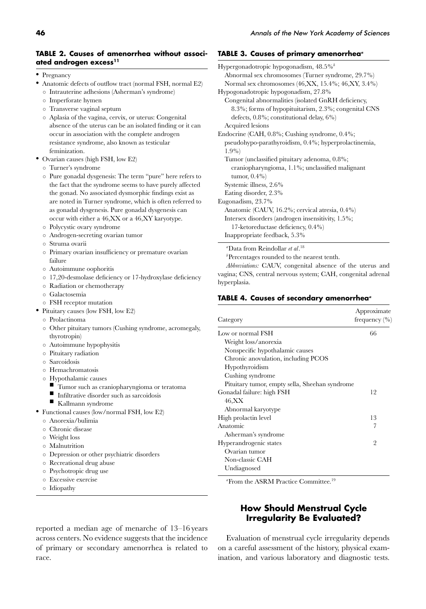#### **TABLE 2. Causes of amenorrhea without associated androgen excess11**

- Pregnancy
- Anatomic defects of outflow tract (normal FSH, normal E2) ◦ Intrauterine adhesions (Asherman's syndrome)
- Imperforate hymen
- Transverse vaginal septum
- Aplasia of the vagina, cervix, or uterus: Congenital absence of the uterus can be an isolated finding or it can occur in association with the complete androgen resistance syndrome, also known as testicular feminization.
- Ovarian causes (high FSH, low E2)
	- Turner's syndrome
	- Pure gonadal dysgenesis: The term "pure" here refers to the fact that the syndrome seems to have purely affected the gonad. No associated dysmorphic findings exist as are noted in Turner syndrome, which is often referred to as gonadal dysgenesis. Pure gonadal dysgenesis can occur with either a 46,XX or a 46,XY karyotype.
	- Polycystic ovary syndrome
	- Androgen-secreting ovarian tumor
	- Struma ovarii
	- Primary ovarian insufficiency or premature ovarian failure
	- Autoimmune oophoritis
	- 17,20-desmolase deficiency or 17-hydroxylase deficiency
	- Radiation or chemotherapy
	- Galactosemia
- FSH receptor mutation
- Pituitary causes (low FSH, low E2)
	- Prolactinoma
	- Other pituitary tumors (Cushing syndrome, acromegaly, thyrotropin)
	- Autoimmune hypophysitis
	- Pituitary radiation
	- Sarcoidosis
	- Hemachromatosis
	- Hypothalamic causes
		- Tumor such as craniopharyngioma or teratoma
		- Infiltrative disorder such as sarcoidosis
		- Kallmann syndrome
- Functional causes (low/normal FSH, low E2)
	- Anorexia/bulimia
	- Chronic disease
	- Weight loss
	- Malnutrition
	- Depression or other psychiatric disorders
	- Recreational drug abuse
	- Psychotropic drug use
	- Excessive exercise
	- Idiopathy

#### **TABLE 3. Causes of primary amenorrhea***<sup>a</sup>*

| Hypergonadotropic hypogonadism, $48.5\%$ <sup>b</sup> |
|-------------------------------------------------------|
| Abnormal sex chromosomes (Turner syndrome, 29.7%)     |
| Normal sex chromosomes (46, XX, 15.4%; 46, XY, 3.4%)  |
| Hypogonadotropic hypogonadism, 27.8%                  |
| Congenital abnormalities (isolated GnRH deficiency,   |
| 8.3%; forms of hypopituitarism, 2.3%; congenital CNS  |
| defects, $0.8\%$ ; constitutional delay, $6\%$ )      |
| Acquired lesions                                      |
| Endocrine (CAH, 0.8%; Cushing syndrome, 0.4%;         |
| pseudohypo-parathyroidism, 0.4%; hyperprolactinemia,  |
| $1.9\%$                                               |
| Tumor (unclassified pituitary adenoma, 0.8%;          |
| craniopharyngioma, $1.1\%$ ; unclassified malignant   |
| tumor, $0.4\%$                                        |
| Systemic illness, 2.6%                                |
| Eating disorder, 2.3%                                 |
| Eugonadism, 23.7%                                     |
| Anatomic (CAUV, 16.2%; cervical atresia, 0.4%)        |
| Intersex disorders (androgen insensitivity, 1.5%;     |
| 17-ketoreductase deficiency, 0.4%)                    |
| Inappropriate feedback, 5.3%                          |
|                                                       |

*a* Data from Reindollar *et al*. 18

*b* Percentages rounded to the nearest tenth.

*Abbreviations:* CAUV, congenital absence of the uterus and vagina; CNS, central nervous system; CAH, congenital adrenal hyperplasia.

#### **TABLE 4. Causes of secondary amenorrhea***<sup>a</sup>*

| Category                                       | Approximate<br>frequency $(\% )$ |
|------------------------------------------------|----------------------------------|
| Low or normal FSH                              | 66                               |
| Weight loss/anorexia                           |                                  |
| Nonspecific hypothalamic causes                |                                  |
| Chronic anovulation, including PCOS            |                                  |
| Hypothyroidism                                 |                                  |
| Cushing syndrome                               |                                  |
| Pituitary tumor, empty sella, Sheehan syndrome |                                  |
| Gonadal failure: high FSH                      | 12                               |
| $46,$ XX                                       |                                  |
| Abnormal karyotype                             |                                  |
| High prolactin level                           | 13                               |
| Anatomic                                       | 7                                |
| Asherman's syndrome                            |                                  |
| Hyperandrogenic states                         | $\overline{2}$                   |
| Ovarian tumor                                  |                                  |
| Non-classic CAH                                |                                  |
| Undiagnosed                                    |                                  |

*a* From the ASRM Practice Committee.19

# **How Should Menstrual Cycle Irregularity Be Evaluated?**

Evaluation of menstrual cycle irregularity depends on a careful assessment of the history, physical examination, and various laboratory and diagnostic tests.

reported a median age of menarche of 13–16 years across centers. No evidence suggests that the incidence of primary or secondary amenorrhea is related to race.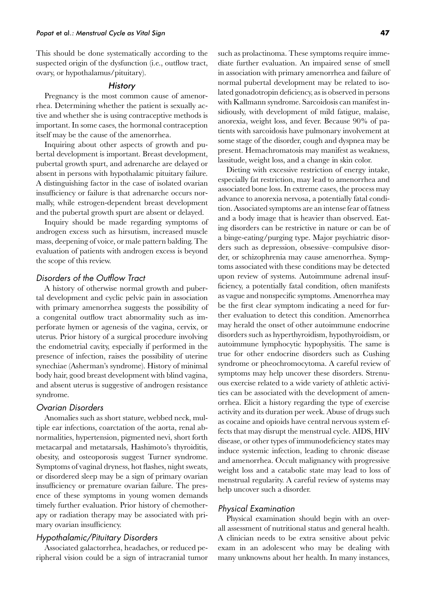This should be done systematically according to the suspected origin of the dysfunction (i.e., outflow tract, ovary, or hypothalamus/pituitary).

#### **History**

Pregnancy is the most common cause of amenorrhea. Determining whether the patient is sexually active and whether she is using contraceptive methods is important. In some cases, the hormonal contraception itself may be the cause of the amenorrhea.

Inquiring about other aspects of growth and pubertal development is important. Breast development, pubertal growth spurt, and adrenarche are delayed or absent in persons with hypothalamic pituitary failure. A distinguishing factor in the case of isolated ovarian insufficiency or failure is that adrenarche occurs normally, while estrogen-dependent breast development and the pubertal growth spurt are absent or delayed.

Inquiry should be made regarding symptoms of androgen excess such as hirsutism, increased muscle mass, deepening of voice, or male pattern balding. The evaluation of patients with androgen excess is beyond the scope of this review.

## Disorders of the Outflow Tract

A history of otherwise normal growth and pubertal development and cyclic pelvic pain in association with primary amenorrhea suggests the possibility of a congenital outflow tract abnormality such as imperforate hymen or agenesis of the vagina, cervix, or uterus. Prior history of a surgical procedure involving the endometrial cavity, especially if performed in the presence of infection, raises the possibility of uterine synechiae (Asherman's syndrome). History of minimal body hair, good breast development with blind vagina, and absent uterus is suggestive of androgen resistance syndrome.

#### Ovarian Disorders

Anomalies such as short stature, webbed neck, multiple ear infections, coarctation of the aorta, renal abnormalities, hypertension, pigmented nevi, short forth metacarpal and metatarsals, Hashimoto's thyroiditis, obesity, and osteoporosis suggest Turner syndrome. Symptoms of vaginal dryness, hot flashes, night sweats, or disordered sleep may be a sign of primary ovarian insufficiency or premature ovarian failure. The presence of these symptoms in young women demands timely further evaluation. Prior history of chemotherapy or radiation therapy may be associated with primary ovarian insufficiency.

#### Hypothalamic/Pituitary Disorders

Associated galactorrhea, headaches, or reduced peripheral vision could be a sign of intracranial tumor such as prolactinoma. These symptoms require immediate further evaluation. An impaired sense of smell in association with primary amenorrhea and failure of normal pubertal development may be related to isolated gonadotropin deficiency, as is observed in persons with Kallmann syndrome. Sarcoidosis can manifest insidiously, with development of mild fatigue, malaise, anorexia, weight loss, and fever. Because 90% of patients with sarcoidosis have pulmonary involvement at some stage of the disorder, cough and dyspnea may be present. Hemachromatosis may manifest as weakness, lassitude, weight loss, and a change in skin color.

Dieting with excessive restriction of energy intake, especially fat restriction, may lead to amenorrhea and associated bone loss. In extreme cases, the process may advance to anorexia nervosa, a potentially fatal condition. Associated symptoms are an intense fear of fatness and a body image that is heavier than observed. Eating disorders can be restrictive in nature or can be of a binge-eating/purging type. Major psychiatric disorders such as depression, obsessive–compulsive disorder, or schizophrenia may cause amenorrhea. Symptoms associated with these conditions may be detected upon review of systems. Autoimmune adrenal insufficiency, a potentially fatal condition, often manifests as vague and nonspecific symptoms. Amenorrhea may be the first clear symptom indicating a need for further evaluation to detect this condition. Amenorrhea may herald the onset of other autoimmune endocrine disorders such as hyperthyroidism, hypothyroidism, or autoimmune lymphocytic hypophysitis. The same is true for other endocrine disorders such as Cushing syndrome or pheochromocytoma. A careful review of symptoms may help uncover these disorders. Strenuous exercise related to a wide variety of athletic activities can be associated with the development of amenorrhea. Elicit a history regarding the type of exercise activity and its duration per week. Abuse of drugs such as cocaine and opioids have central nervous system effects that may disrupt the menstrual cycle. AIDS, HIV disease, or other types of immunodeficiency states may induce systemic infection, leading to chronic disease and amenorrhea. Occult malignancy with progressive weight loss and a catabolic state may lead to loss of menstrual regularity. A careful review of systems may help uncover such a disorder.

#### Physical Examination

Physical examination should begin with an overall assessment of nutritional status and general health. A clinician needs to be extra sensitive about pelvic exam in an adolescent who may be dealing with many unknowns about her health. In many instances,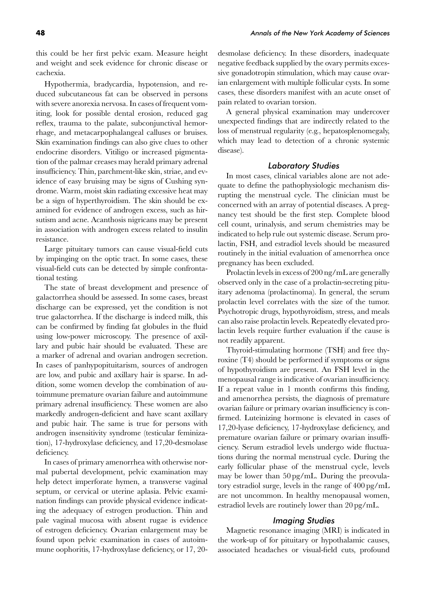this could be her first pelvic exam. Measure height and weight and seek evidence for chronic disease or cachexia.

Hypothermia, bradycardia, hypotension, and reduced subcutaneous fat can be observed in persons with severe anorexia nervosa. In cases of frequent vomiting, look for possible dental erosion, reduced gag reflex, trauma to the palate, subconjunctival hemorrhage, and metacarpophalangeal calluses or bruises. Skin examination findings can also give clues to other endocrine disorders. Vitiligo or increased pigmentation of the palmar creases may herald primary adrenal insufficiency. Thin, parchment-like skin, striae, and evidence of easy bruising may be signs of Cushing syndrome. Warm, moist skin radiating excessive heat may be a sign of hyperthyroidism. The skin should be examined for evidence of androgen excess, such as hirsutism and acne. Acanthosis nigricans may be present in association with androgen excess related to insulin resistance.

Large pituitary tumors can cause visual-field cuts by impinging on the optic tract. In some cases, these visual-field cuts can be detected by simple confrontational testing.

The state of breast development and presence of galactorrhea should be assessed. In some cases, breast discharge can be expressed, yet the condition is not true galactorrhea. If the discharge is indeed milk, this can be confirmed by finding fat globules in the fluid using low-power microscopy. The presence of axillary and pubic hair should be evaluated. These are a marker of adrenal and ovarian androgen secretion. In cases of panhypopituitarism, sources of androgen are low, and pubic and axillary hair is sparse. In addition, some women develop the combination of autoimmune premature ovarian failure and autoimmune primary adrenal insufficiency. These women are also markedly androgen-deficient and have scant axillary and pubic hair. The same is true for persons with androgen insensitivity syndrome (testicular feminization), 17-hydroxylase deficiency, and 17,20-desmolase deficiency.

In cases of primary amenorrhea with otherwise normal pubertal development, pelvic examination may help detect imperforate hymen, a transverse vaginal septum, or cervical or uterine aplasia. Pelvic examination findings can provide physical evidence indicating the adequacy of estrogen production. Thin and pale vaginal mucosa with absent rugae is evidence of estrogen deficiency. Ovarian enlargement may be found upon pelvic examination in cases of autoimmune oophoritis, 17-hydroxylase deficiency, or 17, 20desmolase deficiency. In these disorders, inadequate negative feedback supplied by the ovary permits excessive gonadotropin stimulation, which may cause ovarian enlargement with multiple follicular cysts. In some cases, these disorders manifest with an acute onset of pain related to ovarian torsion.

A general physical examination may undercover unexpected findings that are indirectly related to the loss of menstrual regularity (e.g., hepatosplenomegaly, which may lead to detection of a chronic systemic disease).

#### Laboratory Studies

In most cases, clinical variables alone are not adequate to define the pathophysiologic mechanism disrupting the menstrual cycle. The clinician must be concerned with an array of potential diseases. A pregnancy test should be the first step. Complete blood cell count, urinalysis, and serum chemistries may be indicated to help rule out systemic disease. Serum prolactin, FSH, and estradiol levels should be measured routinely in the initial evaluation of amenorrhea once pregnancy has been excluded.

Prolactin levels in excess of 200 ng/mL are generally observed only in the case of a prolactin-secreting pituitary adenoma (prolactinoma). In general, the serum prolactin level correlates with the size of the tumor. Psychotropic drugs, hypothyroidism, stress, and meals can also raise prolactin levels. Repeatedly elevated prolactin levels require further evaluation if the cause is not readily apparent.

Thyroid-stimulating hormone (TSH) and free thyroxine (T4) should be performed if symptoms or signs of hypothyroidism are present. An FSH level in the menopausal range is indicative of ovarian insufficiency. If a repeat value in 1 month confirms this finding, and amenorrhea persists, the diagnosis of premature ovarian failure or primary ovarian insufficiency is confirmed. Luteinizing hormone is elevated in cases of 17,20-lyase deficiency, 17-hydroxylase deficiency, and premature ovarian failure or primary ovarian insufficiency. Serum estradiol levels undergo wide fluctuations during the normal menstrual cycle. During the early follicular phase of the menstrual cycle, levels may be lower than 50 pg/mL. During the preovulatory estradiol surge, levels in the range of 400 pg/mL are not uncommon. In healthy menopausal women, estradiol levels are routinely lower than 20 pg/mL.

#### Imaging Studies

Magnetic resonance imaging (MRI) is indicated in the work-up of for pituitary or hypothalamic causes, associated headaches or visual-field cuts, profound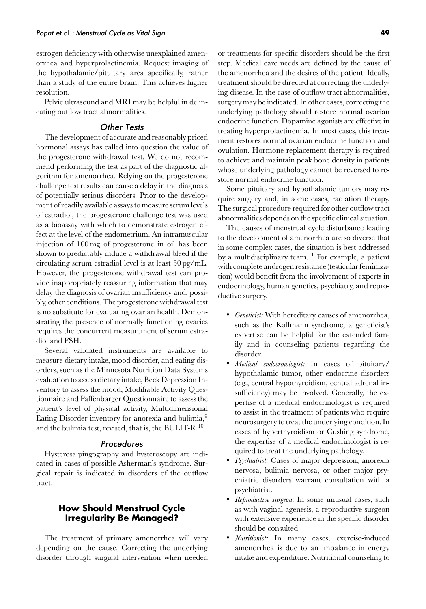estrogen deficiency with otherwise unexplained amenorrhea and hyperprolactinemia. Request imaging of the hypothalamic/pituitary area specifically, rather than a study of the entire brain. This achieves higher resolution.

Pelvic ultrasound and MRI may be helpful in delineating outflow tract abnormalities.

## Other Tests

The development of accurate and reasonably priced hormonal assays has called into question the value of the progesterone withdrawal test. We do not recommend performing the test as part of the diagnostic algorithm for amenorrhea. Relying on the progesterone challenge test results can cause a delay in the diagnosis of potentially serious disorders. Prior to the development of readily available assays to measure serum levels of estradiol, the progesterone challenge test was used as a bioassay with which to demonstrate estrogen effect at the level of the endometrium. An intramuscular injection of 100 mg of progesterone in oil has been shown to predictably induce a withdrawal bleed if the circulating serum estradiol level is at least 50 pg/mL. However, the progesterone withdrawal test can provide inappropriately reassuring information that may delay the diagnosis of ovarian insufficiency and, possibly, other conditions. The progesterone withdrawal test is no substitute for evaluating ovarian health. Demonstrating the presence of normally functioning ovaries requires the concurrent measurement of serum estradiol and FSH.

Several validated instruments are available to measure dietary intake, mood disorder, and eating disorders, such as the Minnesota Nutrition Data Systems evaluation to assess dietary intake, Beck Depression Inventory to assess the mood, Modifiable Activity Questionnaire and Paffenbarger Questionnaire to assess the patient's level of physical activity, Multidimensional Eating Disorder inventory for anorexia and bulimia,<sup>9</sup> and the bulimia test, revised, that is, the BULIT-R.<sup>10</sup>

# **Procedures**

Hysterosalpingography and hysteroscopy are indicated in cases of possible Asherman's syndrome. Surgical repair is indicated in disorders of the outflow tract.

# **How Should Menstrual Cycle Irregularity Be Managed?**

The treatment of primary amenorrhea will vary depending on the cause. Correcting the underlying disorder through surgical intervention when needed or treatments for specific disorders should be the first step. Medical care needs are defined by the cause of the amenorrhea and the desires of the patient. Ideally, treatment should be directed at correcting the underlying disease. In the case of outflow tract abnormalities, surgery may be indicated. In other cases, correcting the underlying pathology should restore normal ovarian endocrine function. Dopamine agonists are effective in treating hyperprolactinemia. In most cases, this treatment restores normal ovarian endocrine function and ovulation. Hormone replacement therapy is required to achieve and maintain peak bone density in patients whose underlying pathology cannot be reversed to restore normal endocrine function.

Some pituitary and hypothalamic tumors may require surgery and, in some cases, radiation therapy. The surgical procedure required for other outflow tract abnormalities depends on the specific clinical situation.

The causes of menstrual cycle disturbance leading to the development of amenorrhea are so diverse that in some complex cases, the situation is best addressed by a multidisciplinary team. $11$  For example, a patient with complete androgen resistance (testicular feminization) would benefit from the involvement of experts in endocrinology, human genetics, psychiatry, and reproductive surgery.

- *Geneticist:* With hereditary causes of amenorrhea, such as the Kallmann syndrome, a geneticist's expertise can be helpful for the extended family and in counseling patients regarding the disorder.
- *Medical endocrinologist:* In cases of pituitary/ hypothalamic tumor, other endocrine disorders (e.g., central hypothyroidism, central adrenal insufficiency) may be involved. Generally, the expertise of a medical endocrinologist is required to assist in the treatment of patients who require neurosurgery to treat the underlying condition. In cases of hyperthyroidism or Cushing syndrome, the expertise of a medical endocrinologist is required to treat the underlying pathology.
- *Psychiatrist:* Cases of major depression, anorexia nervosa, bulimia nervosa, or other major psychiatric disorders warrant consultation with a psychiatrist.
- *Reproductive surgeon:* In some unusual cases, such as with vaginal agenesis, a reproductive surgeon with extensive experience in the specific disorder should be consulted.
- *Nutritionist:* In many cases, exercise-induced amenorrhea is due to an imbalance in energy intake and expenditure. Nutritional counseling to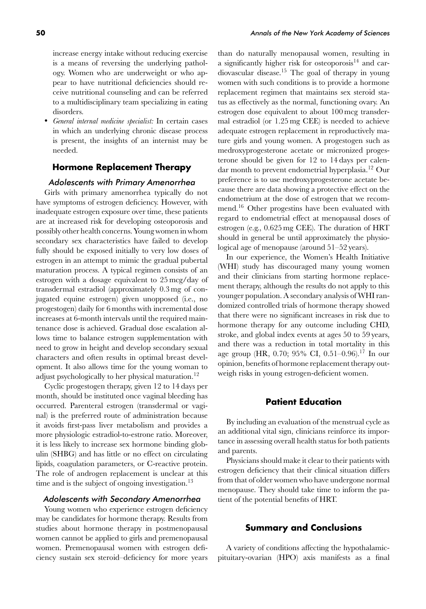increase energy intake without reducing exercise is a means of reversing the underlying pathology. Women who are underweight or who appear to have nutritional deficiencies should receive nutritional counseling and can be referred to a multidisciplinary team specializing in eating disorders.

• *General internal medicine specialist:* In certain cases in which an underlying chronic disease process is present, the insights of an internist may be needed.

## **Hormone Replacement Therapy**

#### Adolescents with Primary Amenorrhea

Girls with primary amenorrhea typically do not have symptoms of estrogen deficiency. However, with inadequate estrogen exposure over time, these patients are at increased risk for developing osteoporosis and possibly other health concerns. Young women in whom secondary sex characteristics have failed to develop fully should be exposed initially to very low doses of estrogen in an attempt to mimic the gradual pubertal maturation process. A typical regimen consists of an estrogen with a dosage equivalent to 25 mcg/day of transdermal estradiol (approximately 0.3 mg of conjugated equine estrogen) given unopposed (i.e., no progestogen) daily for 6 months with incremental dose increases at 6-month intervals until the required maintenance dose is achieved. Gradual dose escalation allows time to balance estrogen supplementation with need to grow in height and develop secondary sexual characters and often results in optimal breast development. It also allows time for the young woman to adjust psychologically to her physical maturation.<sup>12</sup>

Cyclic progestogen therapy, given 12 to 14 days per month, should be instituted once vaginal bleeding has occurred. Parenteral estrogen (transdermal or vaginal) is the preferred route of administration because it avoids first-pass liver metabolism and provides a more physiologic estradiol-to-estrone ratio. Moreover, it is less likely to increase sex hormone binding globulin (SHBG) and has little or no effect on circulating lipids, coagulation parameters, or C-reactive protein. The role of androgen replacement is unclear at this time and is the subject of ongoing investigation. $13$ 

## Adolescents with Secondary Amenorrhea

Young women who experience estrogen deficiency may be candidates for hormone therapy. Results from studies about hormone therapy in postmenopausal women cannot be applied to girls and premenopausal women. Premenopausal women with estrogen deficiency sustain sex steroid–deficiency for more years than do naturally menopausal women, resulting in a significantly higher risk for osteoporosis $14$  and cardiovascular disease.<sup>15</sup> The goal of therapy in young women with such conditions is to provide a hormone replacement regimen that maintains sex steroid status as effectively as the normal, functioning ovary. An estrogen dose equivalent to about 100 mcg transdermal estradiol (or 1.25 mg CEE) is needed to achieve adequate estrogen replacement in reproductively mature girls and young women. A progestogen such as medroxyprogesterone acetate or micronized progesterone should be given for 12 to 14 days per calendar month to prevent endometrial hyperplasia.12 Our preference is to use medroxyprogesterone acetate because there are data showing a protective effect on the endometrium at the dose of estrogen that we recommend.<sup>16</sup> Other progestins have been evaluated with regard to endometrial effect at menopausal doses of estrogen (e.g., 0.625 mg CEE). The duration of HRT should in general be until approximately the physiological age of menopause (around 51–52 years).

In our experience, the Women's Health Initiative (WHI) study has discouraged many young women and their clinicians from starting hormone replacement therapy, although the results do not apply to this younger population. A secondary analysis of WHI randomized controlled trials of hormone therapy showed that there were no significant increases in risk due to hormone therapy for any outcome including CHD, stroke, and global index events at ages 50 to 59 years, and there was a reduction in total mortality in this age group (HR, 0.70; 95% CI, 0.51–0.96).<sup>17</sup> In our opinion, benefits of hormone replacement therapy outweigh risks in young estrogen-deficient women.

# **Patient Education**

By including an evaluation of the menstrual cycle as an additional vital sign, clinicians reinforce its importance in assessing overall health status for both patients and parents.

Physicians should make it clear to their patients with estrogen deficiency that their clinical situation differs from that of older women who have undergone normal menopause. They should take time to inform the patient of the potential benefits of HRT.

#### **Summary and Conclusions**

A variety of conditions affecting the hypothalamicpituitary-ovarian (HPO) axis manifests as a final